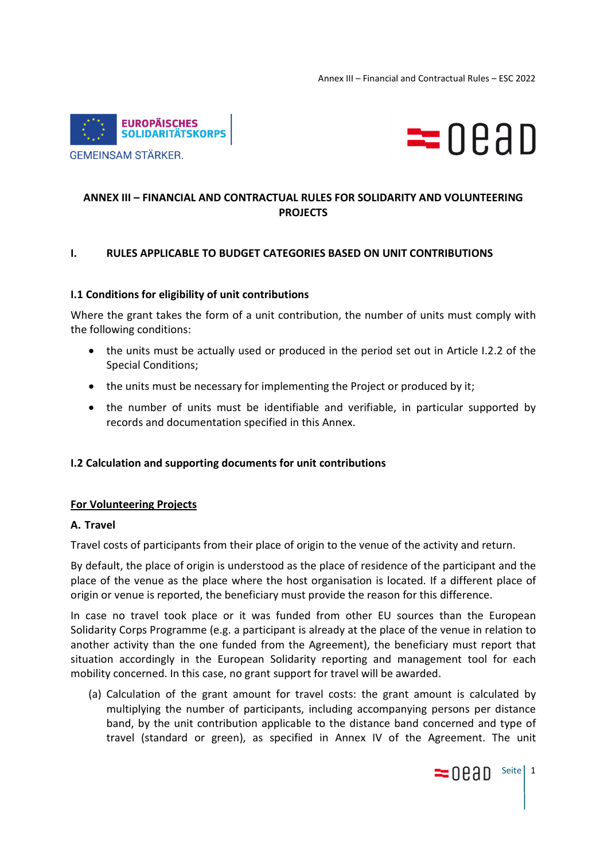



# **ANNEX III – FINANCIAL AND CONTRACTUAL RULES FOR SOLIDARITY AND VOLUNTEERING PROJECTS**

### **I. RULES APPLICABLE TO BUDGET CATEGORIES BASED ON UNIT CONTRIBUTIONS**

#### **I.1 Conditions for eligibility of unit contributions**

Where the grant takes the form of a unit contribution, the number of units must comply with the following conditions:

- the units must be actually used or produced in the period set out in Article I.2.2 of the Special Conditions;
- the units must be necessary for implementing the Project or produced by it;
- the number of units must be identifiable and verifiable, in particular supported by records and documentation specified in this Annex.

#### **I.2 Calculation and supporting documents for unit contributions**

#### **For Volunteering Projects**

#### **A. Travel**

Travel costs of participants from their place of origin to the venue of the activity and return.

By default, the place of origin is understood as the place of residence of the participant and the place of the venue as the place where the host organisation is located. If a different place of origin or venue is reported, the beneficiary must provide the reason for this difference.

In case no travel took place or it was funded from other EU sources than the European Solidarity Corps Programme (e.g. a participant is already at the place of the venue in relation to another activity than the one funded from the Agreement), the beneficiary must report that situation accordingly in the European Solidarity reporting and management tool for each mobility concerned. In this case, no grant support for travel will be awarded.

(a) Calculation of the grant amount for travel costs: the grant amount is calculated by multiplying the number of participants, including accompanying persons per distance band, by the unit contribution applicable to the distance band concerned and type of travel (standard or green), as specified in Annex IV of the Agreement. The unit

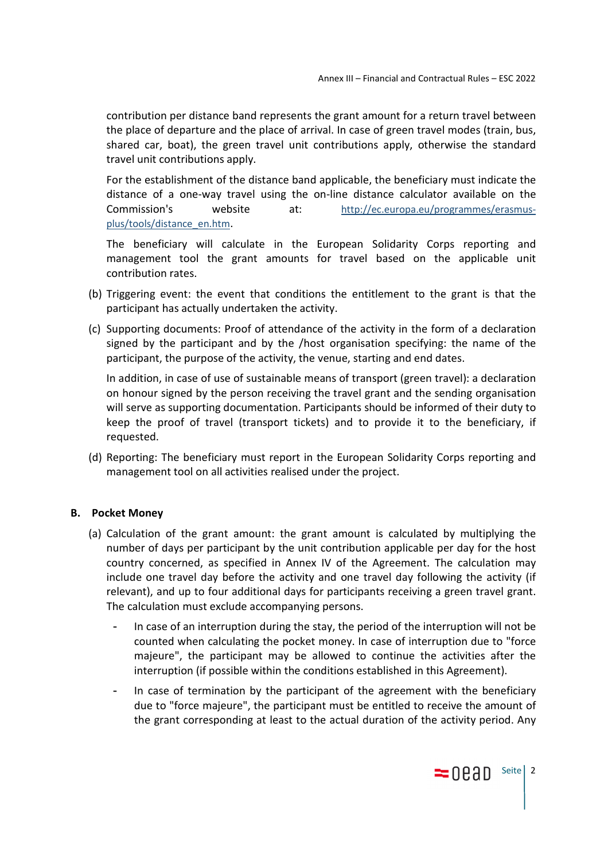contribution per distance band represents the grant amount for a return travel between the place of departure and the place of arrival. In case of green travel modes (train, bus, shared car, boat), the green travel unit contributions apply, otherwise the standard travel unit contributions apply.

For the establishment of the distance band applicable, the beneficiary must indicate the distance of a one-way travel using the on-line distance calculator available on the Commission's website at: http://ec.europa.eu/programmes/erasmusplus/tools/distance\_en.htm.

The beneficiary will calculate in the European Solidarity Corps reporting and management tool the grant amounts for travel based on the applicable unit contribution rates.

- (b) Triggering event: the event that conditions the entitlement to the grant is that the participant has actually undertaken the activity.
- (c) Supporting documents: Proof of attendance of the activity in the form of a declaration signed by the participant and by the /host organisation specifying: the name of the participant, the purpose of the activity, the venue, starting and end dates.

In addition, in case of use of sustainable means of transport (green travel): a declaration on honour signed by the person receiving the travel grant and the sending organisation will serve as supporting documentation. Participants should be informed of their duty to keep the proof of travel (transport tickets) and to provide it to the beneficiary, if requested.

(d) Reporting: The beneficiary must report in the European Solidarity Corps reporting and management tool on all activities realised under the project.

#### **B. Pocket Money**

- (a) Calculation of the grant amount: the grant amount is calculated by multiplying the number of days per participant by the unit contribution applicable per day for the host country concerned, as specified in Annex IV of the Agreement. The calculation may include one travel day before the activity and one travel day following the activity (if relevant), and up to four additional days for participants receiving a green travel grant. The calculation must exclude accompanying persons.
	- In case of an interruption during the stay, the period of the interruption will not be counted when calculating the pocket money. In case of interruption due to "force majeure", the participant may be allowed to continue the activities after the interruption (if possible within the conditions established in this Agreement).
	- In case of termination by the participant of the agreement with the beneficiary due to "force majeure", the participant must be entitled to receive the amount of the grant corresponding at least to the actual duration of the activity period. Any

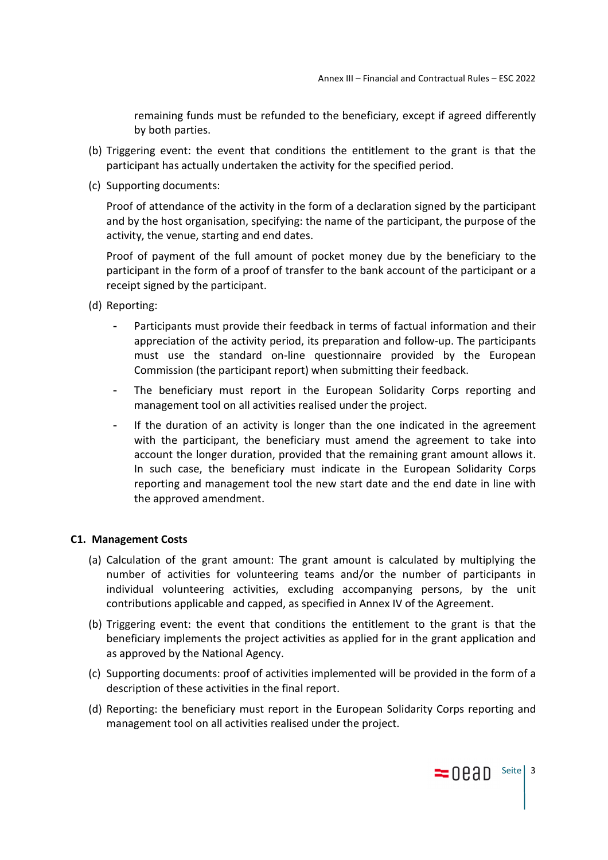remaining funds must be refunded to the beneficiary, except if agreed differently by both parties.

- (b) Triggering event: the event that conditions the entitlement to the grant is that the participant has actually undertaken the activity for the specified period.
- (c) Supporting documents:

Proof of attendance of the activity in the form of a declaration signed by the participant and by the host organisation, specifying: the name of the participant, the purpose of the activity, the venue, starting and end dates.

Proof of payment of the full amount of pocket money due by the beneficiary to the participant in the form of a proof of transfer to the bank account of the participant or a receipt signed by the participant.

- (d) Reporting:
	- Participants must provide their feedback in terms of factual information and their appreciation of the activity period, its preparation and follow-up. The participants must use the standard on-line questionnaire provided by the European Commission (the participant report) when submitting their feedback.
	- The beneficiary must report in the European Solidarity Corps reporting and management tool on all activities realised under the project.
	- If the duration of an activity is longer than the one indicated in the agreement with the participant, the beneficiary must amend the agreement to take into account the longer duration, provided that the remaining grant amount allows it. In such case, the beneficiary must indicate in the European Solidarity Corps reporting and management tool the new start date and the end date in line with the approved amendment.

#### **C1. Management Costs**

- (a) Calculation of the grant amount: The grant amount is calculated by multiplying the number of activities for volunteering teams and/or the number of participants in individual volunteering activities, excluding accompanying persons, by the unit contributions applicable and capped, as specified in Annex IV of the Agreement.
- (b) Triggering event: the event that conditions the entitlement to the grant is that the beneficiary implements the project activities as applied for in the grant application and as approved by the National Agency.
- (c) Supporting documents: proof of activities implemented will be provided in the form of a description of these activities in the final report.
- (d) Reporting: the beneficiary must report in the European Solidarity Corps reporting and management tool on all activities realised under the project.

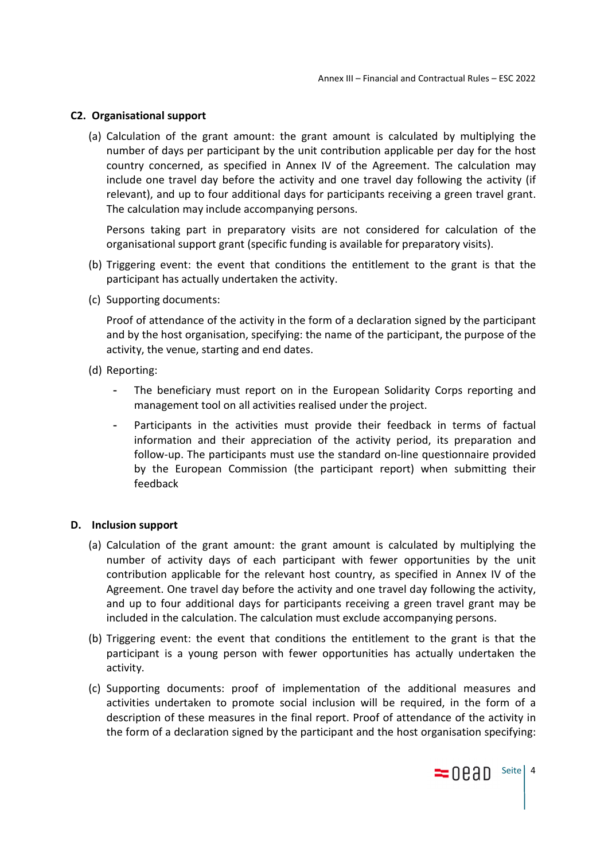#### **C2. Organisational support**

(a) Calculation of the grant amount: the grant amount is calculated by multiplying the number of days per participant by the unit contribution applicable per day for the host country concerned, as specified in Annex IV of the Agreement. The calculation may include one travel day before the activity and one travel day following the activity (if relevant), and up to four additional days for participants receiving a green travel grant. The calculation may include accompanying persons.

Persons taking part in preparatory visits are not considered for calculation of the organisational support grant (specific funding is available for preparatory visits).

- (b) Triggering event: the event that conditions the entitlement to the grant is that the participant has actually undertaken the activity.
- (c) Supporting documents:

Proof of attendance of the activity in the form of a declaration signed by the participant and by the host organisation, specifying: the name of the participant, the purpose of the activity, the venue, starting and end dates.

- (d) Reporting:
	- The beneficiary must report on in the European Solidarity Corps reporting and management tool on all activities realised under the project.
	- Participants in the activities must provide their feedback in terms of factual information and their appreciation of the activity period, its preparation and follow-up. The participants must use the standard on-line questionnaire provided by the European Commission (the participant report) when submitting their feedback

#### **D. Inclusion support**

- (a) Calculation of the grant amount: the grant amount is calculated by multiplying the number of activity days of each participant with fewer opportunities by the unit contribution applicable for the relevant host country, as specified in Annex IV of the Agreement. One travel day before the activity and one travel day following the activity, and up to four additional days for participants receiving a green travel grant may be included in the calculation. The calculation must exclude accompanying persons.
- (b) Triggering event: the event that conditions the entitlement to the grant is that the participant is a young person with fewer opportunities has actually undertaken the activity.
- (c) Supporting documents: proof of implementation of the additional measures and activities undertaken to promote social inclusion will be required, in the form of a description of these measures in the final report. Proof of attendance of the activity in the form of a declaration signed by the participant and the host organisation specifying:

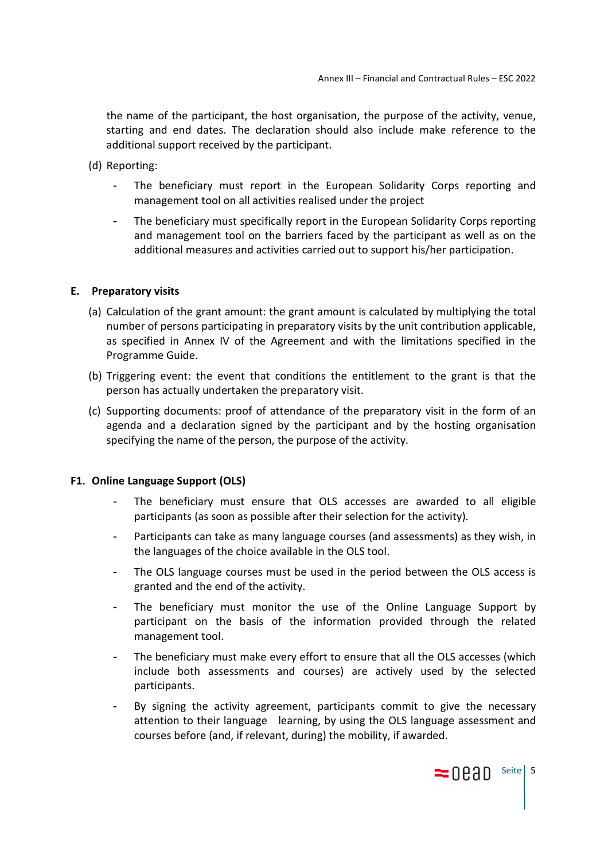the name of the participant, the host organisation, the purpose of the activity, venue, starting and end dates. The declaration should also include make reference to the additional support received by the participant.

- (d) Reporting:
	- The beneficiary must report in the European Solidarity Corps reporting and management tool on all activities realised under the project
	- The beneficiary must specifically report in the European Solidarity Corps reporting and management tool on the barriers faced by the participant as well as on the additional measures and activities carried out to support his/her participation.

### **E. Preparatory visits**

- (a) Calculation of the grant amount: the grant amount is calculated by multiplying the total number of persons participating in preparatory visits by the unit contribution applicable, as specified in Annex IV of the Agreement and with the limitations specified in the Programme Guide.
- (b) Triggering event: the event that conditions the entitlement to the grant is that the person has actually undertaken the preparatory visit.
- (c) Supporting documents: proof of attendance of the preparatory visit in the form of an agenda and a declaration signed by the participant and by the hosting organisation specifying the name of the person, the purpose of the activity.

#### **F1. Online Language Support (OLS)**

- The beneficiary must ensure that OLS accesses are awarded to all eligible participants (as soon as possible after their selection for the activity).
- Participants can take as many language courses (and assessments) as they wish, in the languages of the choice available in the OLS tool.
- The OLS language courses must be used in the period between the OLS access is granted and the end of the activity.
- The beneficiary must monitor the use of the Online Language Support by participant on the basis of the information provided through the related management tool.
- The beneficiary must make every effort to ensure that all the OLS accesses (which include both assessments and courses) are actively used by the selected participants.
- By signing the activity agreement, participants commit to give the necessary attention to their language learning, by using the OLS language assessment and courses before (and, if relevant, during) the mobility, if awarded.

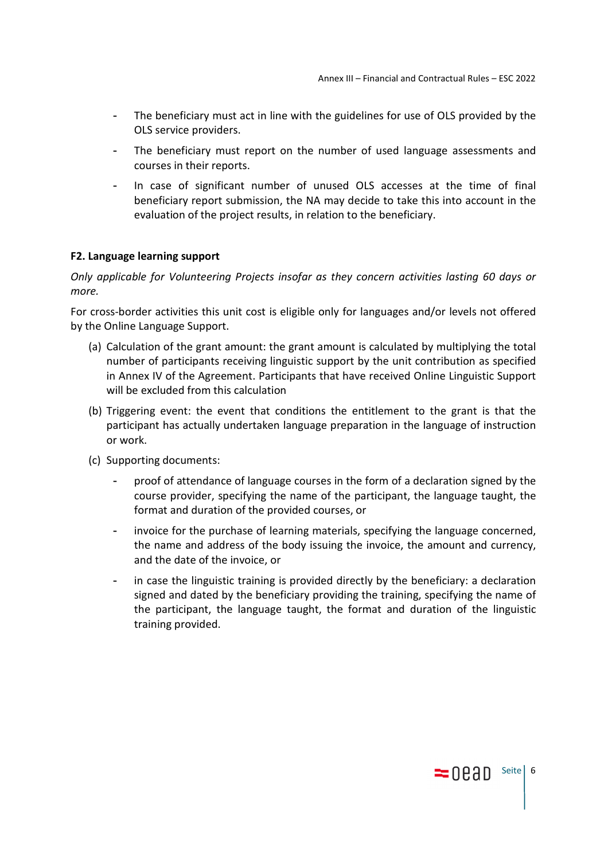- The beneficiary must act in line with the guidelines for use of OLS provided by the OLS service providers.
- The beneficiary must report on the number of used language assessments and courses in their reports.
- In case of significant number of unused OLS accesses at the time of final beneficiary report submission, the NA may decide to take this into account in the evaluation of the project results, in relation to the beneficiary.

### **F2. Language learning support**

*Only applicable for Volunteering Projects insofar as they concern activities lasting 60 days or more.* 

For cross-border activities this unit cost is eligible only for languages and/or levels not offered by the Online Language Support.

- (a) Calculation of the grant amount: the grant amount is calculated by multiplying the total number of participants receiving linguistic support by the unit contribution as specified in Annex IV of the Agreement. Participants that have received Online Linguistic Support will be excluded from this calculation
- (b) Triggering event: the event that conditions the entitlement to the grant is that the participant has actually undertaken language preparation in the language of instruction or work.
- (c) Supporting documents:
	- proof of attendance of language courses in the form of a declaration signed by the course provider, specifying the name of the participant, the language taught, the format and duration of the provided courses, or
	- invoice for the purchase of learning materials, specifying the language concerned, the name and address of the body issuing the invoice, the amount and currency, and the date of the invoice, or
	- in case the linguistic training is provided directly by the beneficiary: a declaration signed and dated by the beneficiary providing the training, specifying the name of the participant, the language taught, the format and duration of the linguistic training provided.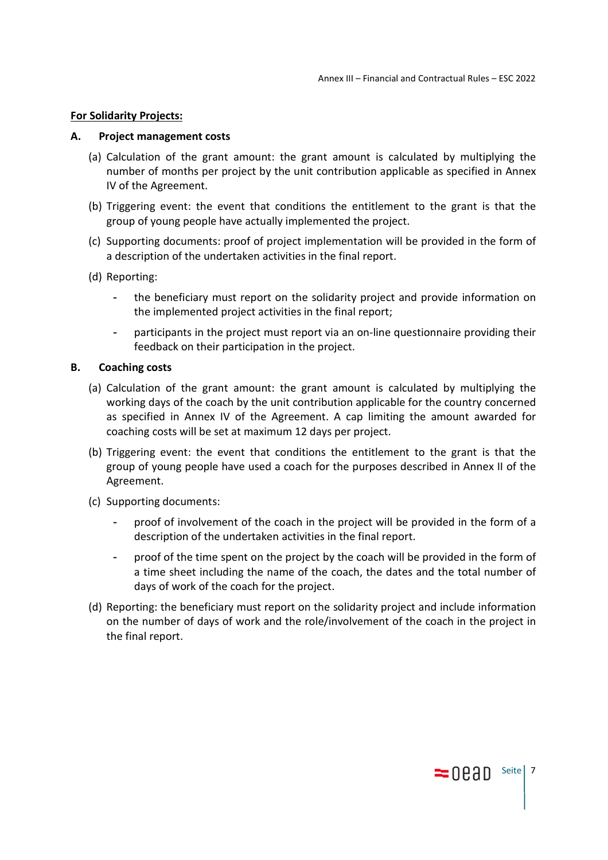#### **For Solidarity Projects:**

#### **A. Project management costs**

- (a) Calculation of the grant amount: the grant amount is calculated by multiplying the number of months per project by the unit contribution applicable as specified in Annex IV of the Agreement.
- (b) Triggering event: the event that conditions the entitlement to the grant is that the group of young people have actually implemented the project.
- (c) Supporting documents: proof of project implementation will be provided in the form of a description of the undertaken activities in the final report.
- (d) Reporting:
	- the beneficiary must report on the solidarity project and provide information on the implemented project activities in the final report;
	- participants in the project must report via an on-line questionnaire providing their feedback on their participation in the project.

#### **B. Coaching costs**

- (a) Calculation of the grant amount: the grant amount is calculated by multiplying the working days of the coach by the unit contribution applicable for the country concerned as specified in Annex IV of the Agreement. A cap limiting the amount awarded for coaching costs will be set at maximum 12 days per project.
- (b) Triggering event: the event that conditions the entitlement to the grant is that the group of young people have used a coach for the purposes described in Annex II of the Agreement.
- (c) Supporting documents:
	- proof of involvement of the coach in the project will be provided in the form of a description of the undertaken activities in the final report.
	- proof of the time spent on the project by the coach will be provided in the form of a time sheet including the name of the coach, the dates and the total number of days of work of the coach for the project.
- (d) Reporting: the beneficiary must report on the solidarity project and include information on the number of days of work and the role/involvement of the coach in the project in the final report.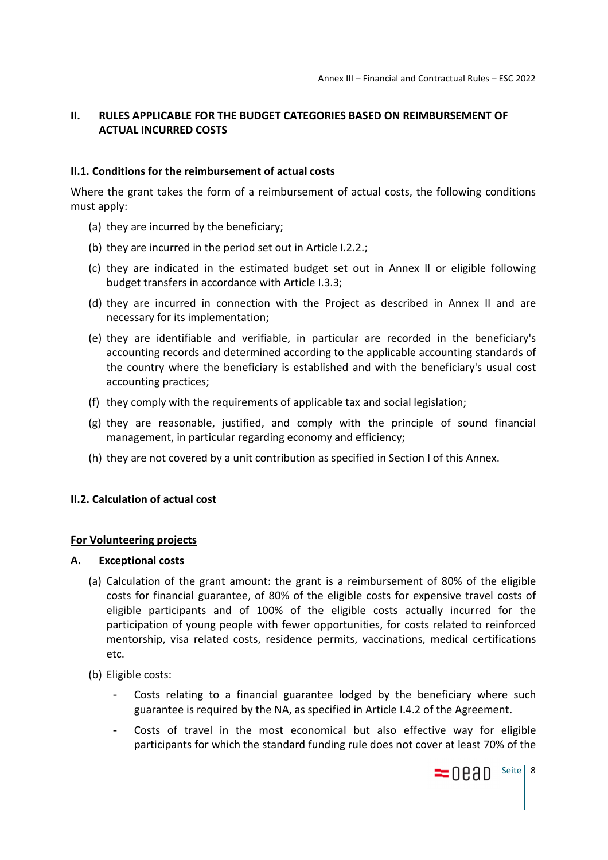# **II. RULES APPLICABLE FOR THE BUDGET CATEGORIES BASED ON REIMBURSEMENT OF ACTUAL INCURRED COSTS**

### **II.1. Conditions for the reimbursement of actual costs**

Where the grant takes the form of a reimbursement of actual costs, the following conditions must apply:

- (a) they are incurred by the beneficiary;
- (b) they are incurred in the period set out in Article I.2.2.;
- (c) they are indicated in the estimated budget set out in Annex II or eligible following budget transfers in accordance with Article I.3.3;
- (d) they are incurred in connection with the Project as described in Annex II and are necessary for its implementation;
- (e) they are identifiable and verifiable, in particular are recorded in the beneficiary's accounting records and determined according to the applicable accounting standards of the country where the beneficiary is established and with the beneficiary's usual cost accounting practices;
- (f) they comply with the requirements of applicable tax and social legislation;
- (g) they are reasonable, justified, and comply with the principle of sound financial management, in particular regarding economy and efficiency;
- (h) they are not covered by a unit contribution as specified in Section I of this Annex.

## **II.2. Calculation of actual cost**

#### **For Volunteering projects**

#### **A. Exceptional costs**

- (a) Calculation of the grant amount: the grant is a reimbursement of 80% of the eligible costs for financial guarantee, of 80% of the eligible costs for expensive travel costs of eligible participants and of 100% of the eligible costs actually incurred for the participation of young people with fewer opportunities, for costs related to reinforced mentorship, visa related costs, residence permits, vaccinations, medical certifications etc.
- (b) Eligible costs:
	- Costs relating to a financial guarantee lodged by the beneficiary where such guarantee is required by the NA, as specified in Article I.4.2 of the Agreement.
	- Costs of travel in the most economical but also effective way for eligible participants for which the standard funding rule does not cover at least 70% of the

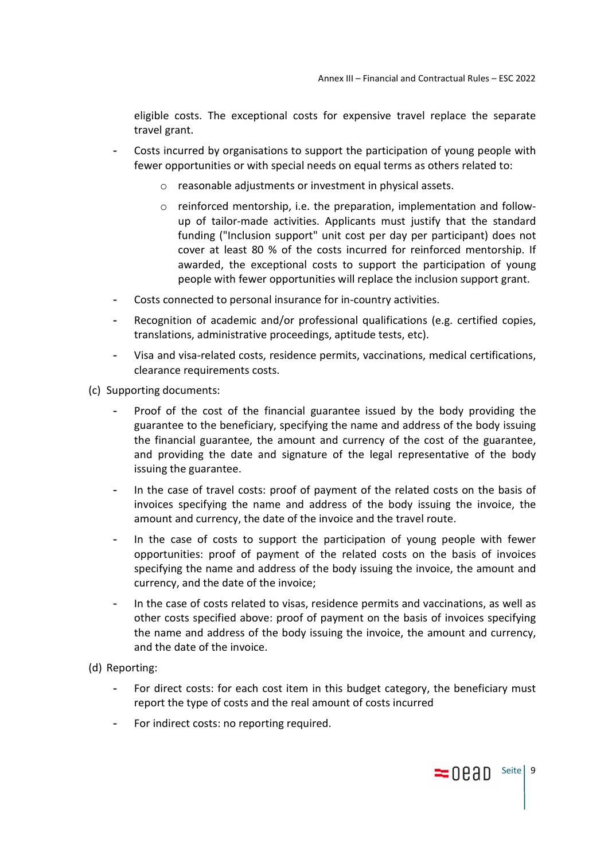eligible costs. The exceptional costs for expensive travel replace the separate travel grant.

- Costs incurred by organisations to support the participation of young people with fewer opportunities or with special needs on equal terms as others related to:
	- o reasonable adjustments or investment in physical assets.
	- $\circ$  reinforced mentorship, i.e. the preparation, implementation and followup of tailor-made activities. Applicants must justify that the standard funding ("Inclusion support" unit cost per day per participant) does not cover at least 80 % of the costs incurred for reinforced mentorship. If awarded, the exceptional costs to support the participation of young people with fewer opportunities will replace the inclusion support grant.
- Costs connected to personal insurance for in-country activities.
- Recognition of academic and/or professional qualifications (e.g. certified copies, translations, administrative proceedings, aptitude tests, etc).
- Visa and visa-related costs, residence permits, vaccinations, medical certifications, clearance requirements costs.
- (c) Supporting documents:
	- Proof of the cost of the financial guarantee issued by the body providing the guarantee to the beneficiary, specifying the name and address of the body issuing the financial guarantee, the amount and currency of the cost of the guarantee, and providing the date and signature of the legal representative of the body issuing the guarantee.
	- In the case of travel costs: proof of payment of the related costs on the basis of invoices specifying the name and address of the body issuing the invoice, the amount and currency, the date of the invoice and the travel route.
	- In the case of costs to support the participation of young people with fewer opportunities: proof of payment of the related costs on the basis of invoices specifying the name and address of the body issuing the invoice, the amount and currency, and the date of the invoice;
	- In the case of costs related to visas, residence permits and vaccinations, as well as other costs specified above: proof of payment on the basis of invoices specifying the name and address of the body issuing the invoice, the amount and currency, and the date of the invoice.
- (d) Reporting:
	- For direct costs: for each cost item in this budget category, the beneficiary must report the type of costs and the real amount of costs incurred
	- For indirect costs: no reporting required.

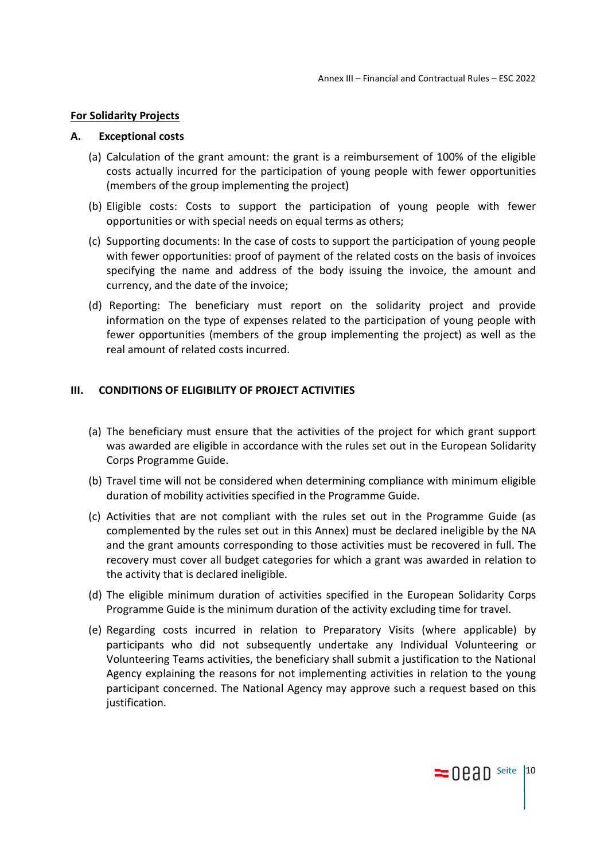#### **For Solidarity Projects**

#### **A. Exceptional costs**

- (a) Calculation of the grant amount: the grant is a reimbursement of 100% of the eligible costs actually incurred for the participation of young people with fewer opportunities (members of the group implementing the project)
- (b) Eligible costs: Costs to support the participation of young people with fewer opportunities or with special needs on equal terms as others;
- (c) Supporting documents: In the case of costs to support the participation of young people with fewer opportunities: proof of payment of the related costs on the basis of invoices specifying the name and address of the body issuing the invoice, the amount and currency, and the date of the invoice;
- (d) Reporting: The beneficiary must report on the solidarity project and provide information on the type of expenses related to the participation of young people with fewer opportunities (members of the group implementing the project) as well as the real amount of related costs incurred.

#### **III. CONDITIONS OF ELIGIBILITY OF PROJECT ACTIVITIES**

- (a) The beneficiary must ensure that the activities of the project for which grant support was awarded are eligible in accordance with the rules set out in the European Solidarity Corps Programme Guide.
- (b) Travel time will not be considered when determining compliance with minimum eligible duration of mobility activities specified in the Programme Guide.
- (c) Activities that are not compliant with the rules set out in the Programme Guide (as complemented by the rules set out in this Annex) must be declared ineligible by the NA and the grant amounts corresponding to those activities must be recovered in full. The recovery must cover all budget categories for which a grant was awarded in relation to the activity that is declared ineligible.
- (d) The eligible minimum duration of activities specified in the European Solidarity Corps Programme Guide is the minimum duration of the activity excluding time for travel.
- (e) Regarding costs incurred in relation to Preparatory Visits (where applicable) by participants who did not subsequently undertake any Individual Volunteering or Volunteering Teams activities, the beneficiary shall submit a justification to the National Agency explaining the reasons for not implementing activities in relation to the young participant concerned. The National Agency may approve such a request based on this justification.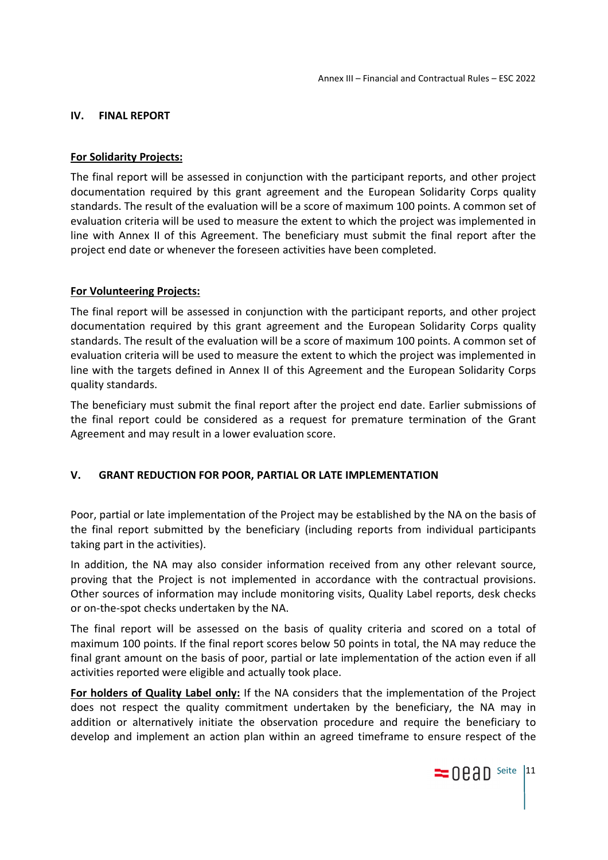#### **IV. FINAL REPORT**

#### **For Solidarity Projects:**

The final report will be assessed in conjunction with the participant reports, and other project documentation required by this grant agreement and the European Solidarity Corps quality standards. The result of the evaluation will be a score of maximum 100 points. A common set of evaluation criteria will be used to measure the extent to which the project was implemented in line with Annex II of this Agreement. The beneficiary must submit the final report after the project end date or whenever the foreseen activities have been completed.

### **For Volunteering Projects:**

The final report will be assessed in conjunction with the participant reports, and other project documentation required by this grant agreement and the European Solidarity Corps quality standards. The result of the evaluation will be a score of maximum 100 points. A common set of evaluation criteria will be used to measure the extent to which the project was implemented in line with the targets defined in Annex II of this Agreement and the European Solidarity Corps quality standards.

The beneficiary must submit the final report after the project end date. Earlier submissions of the final report could be considered as a request for premature termination of the Grant Agreement and may result in a lower evaluation score.

## **V. GRANT REDUCTION FOR POOR, PARTIAL OR LATE IMPLEMENTATION**

Poor, partial or late implementation of the Project may be established by the NA on the basis of the final report submitted by the beneficiary (including reports from individual participants taking part in the activities).

In addition, the NA may also consider information received from any other relevant source, proving that the Project is not implemented in accordance with the contractual provisions. Other sources of information may include monitoring visits, Quality Label reports, desk checks or on-the-spot checks undertaken by the NA.

The final report will be assessed on the basis of quality criteria and scored on a total of maximum 100 points. If the final report scores below 50 points in total, the NA may reduce the final grant amount on the basis of poor, partial or late implementation of the action even if all activities reported were eligible and actually took place.

**For holders of Quality Label only:** If the NA considers that the implementation of the Project does not respect the quality commitment undertaken by the beneficiary, the NA may in addition or alternatively initiate the observation procedure and require the beneficiary to develop and implement an action plan within an agreed timeframe to ensure respect of the

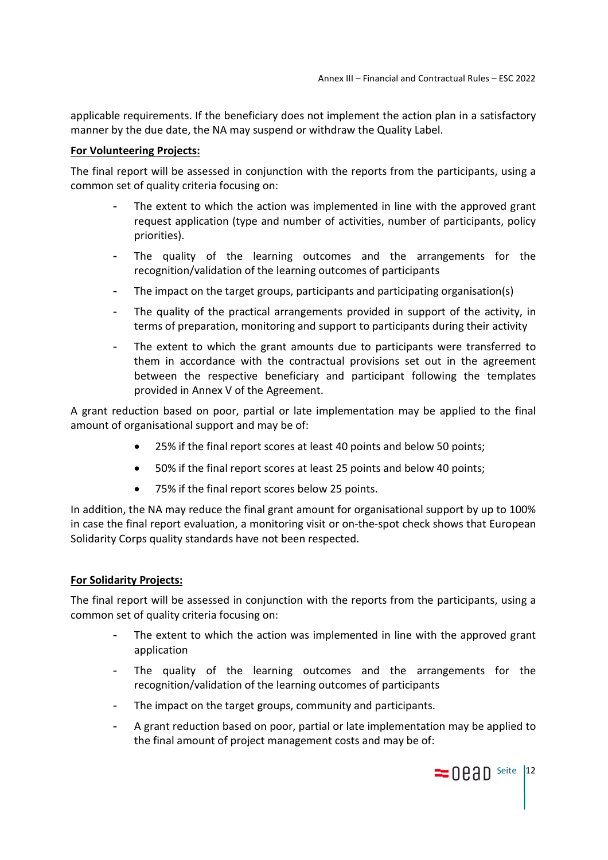applicable requirements. If the beneficiary does not implement the action plan in a satisfactory manner by the due date, the NA may suspend or withdraw the Quality Label.

### **For Volunteering Projects:**

The final report will be assessed in conjunction with the reports from the participants, using a common set of quality criteria focusing on:

- The extent to which the action was implemented in line with the approved grant request application (type and number of activities, number of participants, policy priorities).
- The quality of the learning outcomes and the arrangements for the recognition/validation of the learning outcomes of participants
- The impact on the target groups, participants and participating organisation(s)
- The quality of the practical arrangements provided in support of the activity, in terms of preparation, monitoring and support to participants during their activity
- The extent to which the grant amounts due to participants were transferred to them in accordance with the contractual provisions set out in the agreement between the respective beneficiary and participant following the templates provided in Annex V of the Agreement.

A grant reduction based on poor, partial or late implementation may be applied to the final amount of organisational support and may be of:

- 25% if the final report scores at least 40 points and below 50 points;
- 50% if the final report scores at least 25 points and below 40 points;
- 75% if the final report scores below 25 points.

In addition, the NA may reduce the final grant amount for organisational support by up to 100% in case the final report evaluation, a monitoring visit or on-the-spot check shows that European Solidarity Corps quality standards have not been respected.

## **For Solidarity Projects:**

The final report will be assessed in conjunction with the reports from the participants, using a common set of quality criteria focusing on:

- The extent to which the action was implemented in line with the approved grant application
- The quality of the learning outcomes and the arrangements for the recognition/validation of the learning outcomes of participants
- The impact on the target groups, community and participants.
- A grant reduction based on poor, partial or late implementation may be applied to the final amount of project management costs and may be of:

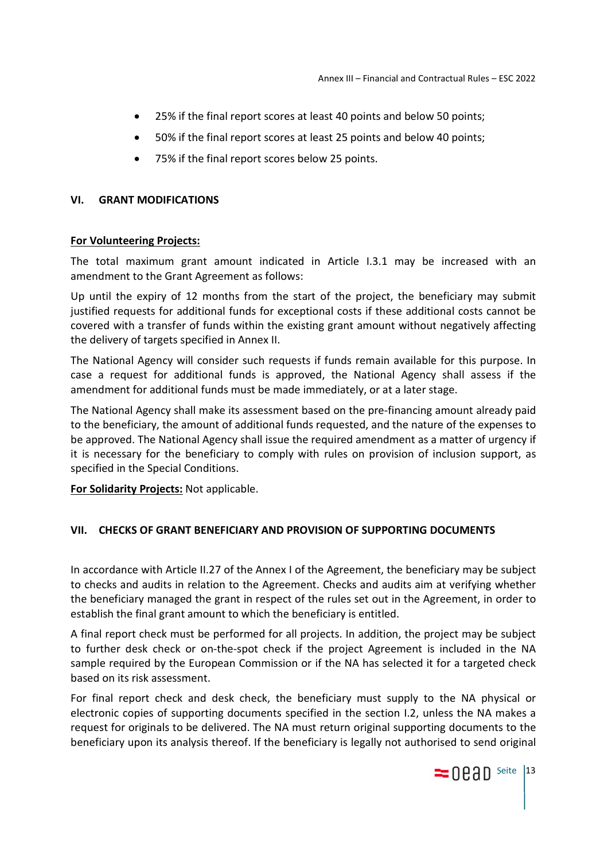- 25% if the final report scores at least 40 points and below 50 points;
- 50% if the final report scores at least 25 points and below 40 points;
- 75% if the final report scores below 25 points.

#### **VI. GRANT MODIFICATIONS**

#### **For Volunteering Projects:**

The total maximum grant amount indicated in Article I.3.1 may be increased with an amendment to the Grant Agreement as follows:

Up until the expiry of 12 months from the start of the project, the beneficiary may submit justified requests for additional funds for exceptional costs if these additional costs cannot be covered with a transfer of funds within the existing grant amount without negatively affecting the delivery of targets specified in Annex II.

The National Agency will consider such requests if funds remain available for this purpose. In case a request for additional funds is approved, the National Agency shall assess if the amendment for additional funds must be made immediately, or at a later stage.

The National Agency shall make its assessment based on the pre-financing amount already paid to the beneficiary, the amount of additional funds requested, and the nature of the expenses to be approved. The National Agency shall issue the required amendment as a matter of urgency if it is necessary for the beneficiary to comply with rules on provision of inclusion support, as specified in the Special Conditions.

**For Solidarity Projects:** Not applicable.

#### **VII. CHECKS OF GRANT BENEFICIARY AND PROVISION OF SUPPORTING DOCUMENTS**

In accordance with Article II.27 of the Annex I of the Agreement, the beneficiary may be subject to checks and audits in relation to the Agreement. Checks and audits aim at verifying whether the beneficiary managed the grant in respect of the rules set out in the Agreement, in order to establish the final grant amount to which the beneficiary is entitled.

A final report check must be performed for all projects. In addition, the project may be subject to further desk check or on-the-spot check if the project Agreement is included in the NA sample required by the European Commission or if the NA has selected it for a targeted check based on its risk assessment.

For final report check and desk check, the beneficiary must supply to the NA physical or electronic copies of supporting documents specified in the section I.2, unless the NA makes a request for originals to be delivered. The NA must return original supporting documents to the beneficiary upon its analysis thereof. If the beneficiary is legally not authorised to send original

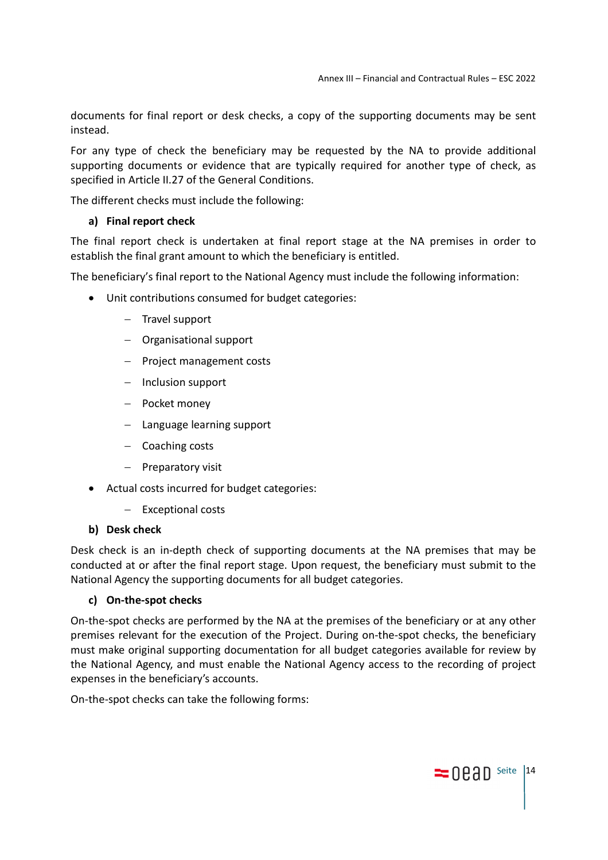documents for final report or desk checks, a copy of the supporting documents may be sent instead.

For any type of check the beneficiary may be requested by the NA to provide additional supporting documents or evidence that are typically required for another type of check, as specified in Article II.27 of the General Conditions.

The different checks must include the following:

# **a) Final report check**

The final report check is undertaken at final report stage at the NA premises in order to establish the final grant amount to which the beneficiary is entitled.

The beneficiary's final report to the National Agency must include the following information:

- Unit contributions consumed for budget categories:
	- $-$  Travel support
	- Organisational support
	- $-$  Project management costs
	- $-$  Inclusion support
	- Pocket money
	- Language learning support
	- Coaching costs
	- $-$  Preparatory visit
- Actual costs incurred for budget categories:
	- Exceptional costs

## **b) Desk check**

Desk check is an in-depth check of supporting documents at the NA premises that may be conducted at or after the final report stage. Upon request, the beneficiary must submit to the National Agency the supporting documents for all budget categories.

# **c) On-the-spot checks**

On-the-spot checks are performed by the NA at the premises of the beneficiary or at any other premises relevant for the execution of the Project. During on-the-spot checks, the beneficiary must make original supporting documentation for all budget categories available for review by the National Agency, and must enable the National Agency access to the recording of project expenses in the beneficiary's accounts.

On-the-spot checks can take the following forms: